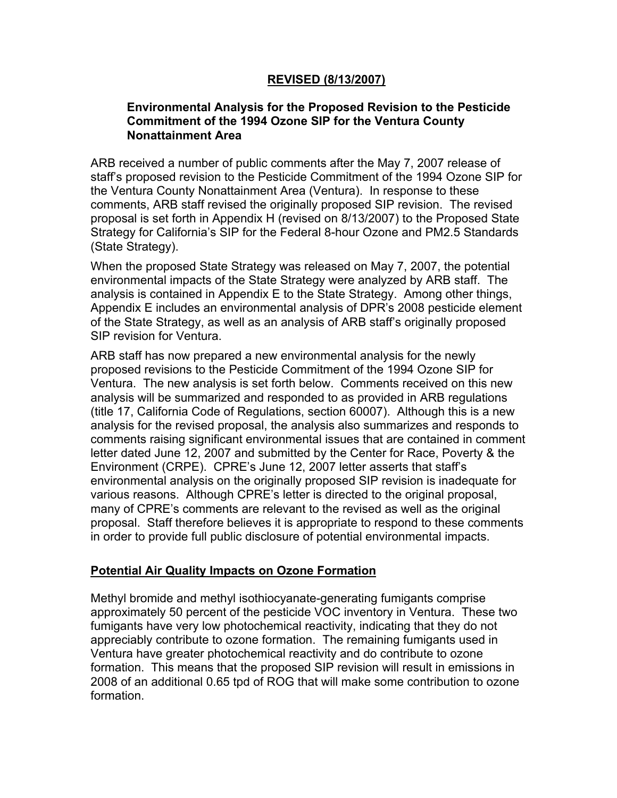### **REVISED (8/13/2007)**

### **Environmental Analysis for the Proposed Revision to the Pesticide Commitment of the 1994 Ozone SIP for the Ventura County Nonattainment Area**

ARB received a number of public comments after the May 7, 2007 release of staff's proposed revision to the Pesticide Commitment of the 1994 Ozone SIP for the Ventura County Nonattainment Area (Ventura). In response to these comments, ARB staff revised the originally proposed SIP revision. The revised proposal is set forth in Appendix H (revised on 8/13/2007) to the Proposed State Strategy for California's SIP for the Federal 8-hour Ozone and PM2.5 Standards (State Strategy).

When the proposed State Strategy was released on May 7, 2007, the potential environmental impacts of the State Strategy were analyzed by ARB staff. The analysis is contained in Appendix E to the State Strategy. Among other things, Appendix E includes an environmental analysis of DPR's 2008 pesticide element of the State Strategy, as well as an analysis of ARB staff's originally proposed SIP revision for Ventura.

ARB staff has now prepared a new environmental analysis for the newly proposed revisions to the Pesticide Commitment of the 1994 Ozone SIP for Ventura. The new analysis is set forth below. Comments received on this new analysis will be summarized and responded to as provided in ARB regulations (title 17, California Code of Regulations, section 60007). Although this is a new analysis for the revised proposal, the analysis also summarizes and responds to comments raising significant environmental issues that are contained in comment letter dated June 12, 2007 and submitted by the Center for Race, Poverty & the Environment (CRPE). CPRE's June 12, 2007 letter asserts that staff's environmental analysis on the originally proposed SIP revision is inadequate for various reasons. Although CPRE's letter is directed to the original proposal, many of CPRE's comments are relevant to the revised as well as the original proposal. Staff therefore believes it is appropriate to respond to these comments in order to provide full public disclosure of potential environmental impacts.

### **Potential Air Quality Impacts on Ozone Formation**

Methyl bromide and methyl isothiocyanate-generating fumigants comprise approximately 50 percent of the pesticide VOC inventory in Ventura. These two fumigants have very low photochemical reactivity, indicating that they do not appreciably contribute to ozone formation. The remaining fumigants used in Ventura have greater photochemical reactivity and do contribute to ozone formation. This means that the proposed SIP revision will result in emissions in 2008 of an additional 0.65 tpd of ROG that will make some contribution to ozone formation.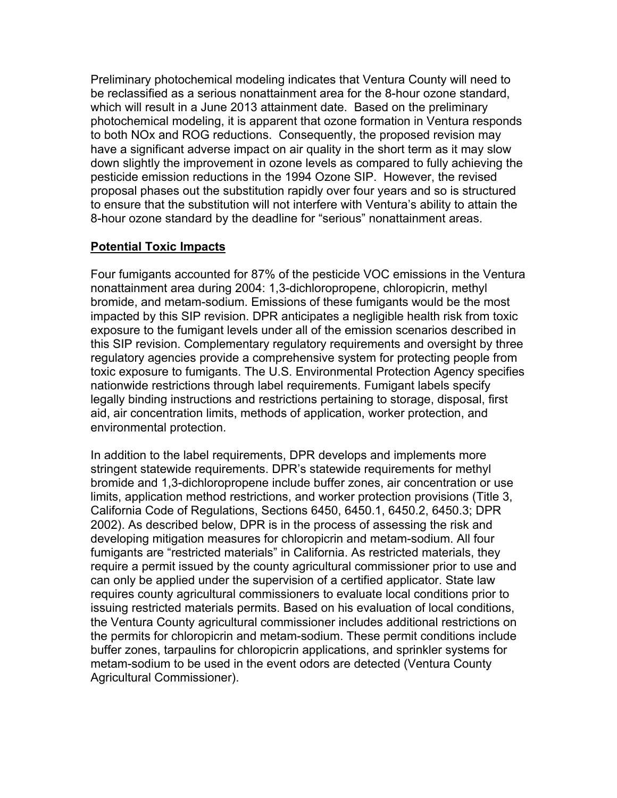Preliminary photochemical modeling indicates that Ventura County will need to be reclassified as a serious nonattainment area for the 8-hour ozone standard, which will result in a June 2013 attainment date. Based on the preliminary photochemical modeling, it is apparent that ozone formation in Ventura responds to both NOx and ROG reductions. Consequently, the proposed revision may have a significant adverse impact on air quality in the short term as it may slow down slightly the improvement in ozone levels as compared to fully achieving the pesticide emission reductions in the 1994 Ozone SIP. However, the revised proposal phases out the substitution rapidly over four years and so is structured to ensure that the substitution will not interfere with Ventura's ability to attain the 8-hour ozone standard by the deadline for "serious" nonattainment areas.

## **Potential Toxic Impacts**

Four fumigants accounted for 87% of the pesticide VOC emissions in the Ventura nonattainment area during 2004: 1,3-dichloropropene, chloropicrin, methyl bromide, and metam-sodium. Emissions of these fumigants would be the most impacted by this SIP revision. DPR anticipates a negligible health risk from toxic exposure to the fumigant levels under all of the emission scenarios described in this SIP revision. Complementary regulatory requirements and oversight by three regulatory agencies provide a comprehensive system for protecting people from toxic exposure to fumigants. The U.S. Environmental Protection Agency specifies nationwide restrictions through label requirements. Fumigant labels specify legally binding instructions and restrictions pertaining to storage, disposal, first aid, air concentration limits, methods of application, worker protection, and environmental protection.

In addition to the label requirements, DPR develops and implements more stringent statewide requirements. DPR's statewide requirements for methyl bromide and 1,3-dichloropropene include buffer zones, air concentration or use limits, application method restrictions, and worker protection provisions (Title 3, California Code of Regulations, Sections 6450, 6450.1, 6450.2, 6450.3; DPR 2002). As described below, DPR is in the process of assessing the risk and developing mitigation measures for chloropicrin and metam-sodium. All four fumigants are "restricted materials" in California. As restricted materials, they require a permit issued by the county agricultural commissioner prior to use and can only be applied under the supervision of a certified applicator. State law requires county agricultural commissioners to evaluate local conditions prior to issuing restricted materials permits. Based on his evaluation of local conditions, the Ventura County agricultural commissioner includes additional restrictions on the permits for chloropicrin and metam-sodium. These permit conditions include buffer zones, tarpaulins for chloropicrin applications, and sprinkler systems for metam-sodium to be used in the event odors are detected (Ventura County Agricultural Commissioner).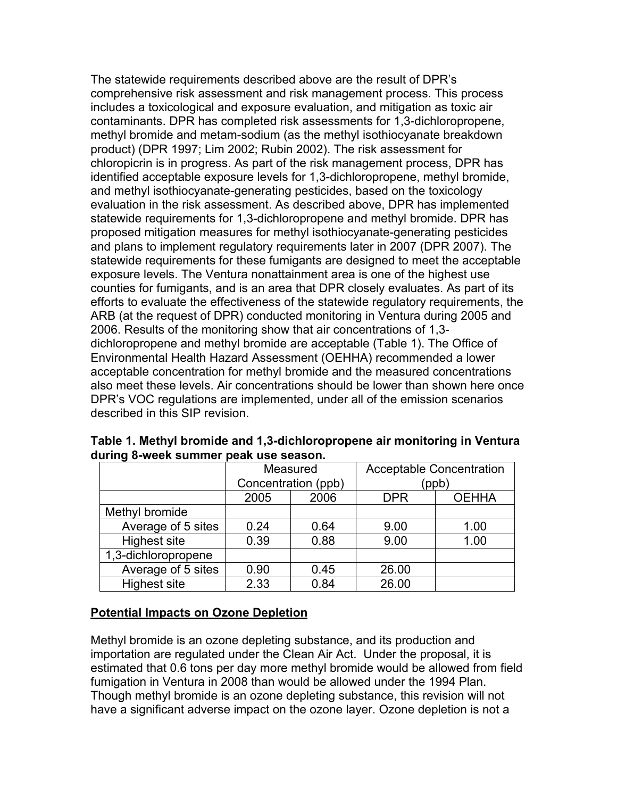The statewide requirements described above are the result of DPR's comprehensive risk assessment and risk management process. This process includes a toxicological and exposure evaluation, and mitigation as toxic air contaminants. DPR has completed risk assessments for 1,3-dichloropropene, methyl bromide and metam-sodium (as the methyl isothiocyanate breakdown product) (DPR 1997; Lim 2002; Rubin 2002). The risk assessment for chloropicrin is in progress. As part of the risk management process, DPR has identified acceptable exposure levels for 1,3-dichloropropene, methyl bromide, and methyl isothiocyanate-generating pesticides, based on the toxicology evaluation in the risk assessment. As described above, DPR has implemented statewide requirements for 1,3-dichloropropene and methyl bromide. DPR has proposed mitigation measures for methyl isothiocyanate-generating pesticides and plans to implement regulatory requirements later in 2007 (DPR 2007). The statewide requirements for these fumigants are designed to meet the acceptable exposure levels. The Ventura nonattainment area is one of the highest use counties for fumigants, and is an area that DPR closely evaluates. As part of its efforts to evaluate the effectiveness of the statewide regulatory requirements, the ARB (at the request of DPR) conducted monitoring in Ventura during 2005 and 2006. Results of the monitoring show that air concentrations of 1,3 dichloropropene and methyl bromide are acceptable (Table 1). The Office of Environmental Health Hazard Assessment (OEHHA) recommended a lower acceptable concentration for methyl bromide and the measured concentrations also meet these levels. Air concentrations should be lower than shown here once DPR's VOC regulations are implemented, under all of the emission scenarios described in this SIP revision.

|                     | Measured<br>Concentration (ppb) |      | <b>Acceptable Concentration</b><br>(ppb) |              |
|---------------------|---------------------------------|------|------------------------------------------|--------------|
|                     |                                 |      |                                          |              |
|                     | 2005                            | 2006 | <b>DPR</b>                               | <b>OEHHA</b> |
| Methyl bromide      |                                 |      |                                          |              |
| Average of 5 sites  | 0.24                            | 0.64 | 9.00                                     | 1.00         |
| <b>Highest site</b> | 0.39                            | 0.88 | 9.00                                     | 1.00         |
| 1,3-dichloropropene |                                 |      |                                          |              |
| Average of 5 sites  | 0.90                            | 0.45 | 26.00                                    |              |
| <b>Highest site</b> | 2.33                            | 0.84 | 26.00                                    |              |

**Table 1. Methyl bromide and 1,3-dichloropropene air monitoring in Ventura during 8-week summer peak use season.** 

### **Potential Impacts on Ozone Depletion**

Methyl bromide is an ozone depleting substance, and its production and importation are regulated under the Clean Air Act. Under the proposal, it is estimated that 0.6 tons per day more methyl bromide would be allowed from field fumigation in Ventura in 2008 than would be allowed under the 1994 Plan. Though methyl bromide is an ozone depleting substance, this revision will not have a significant adverse impact on the ozone layer. Ozone depletion is not a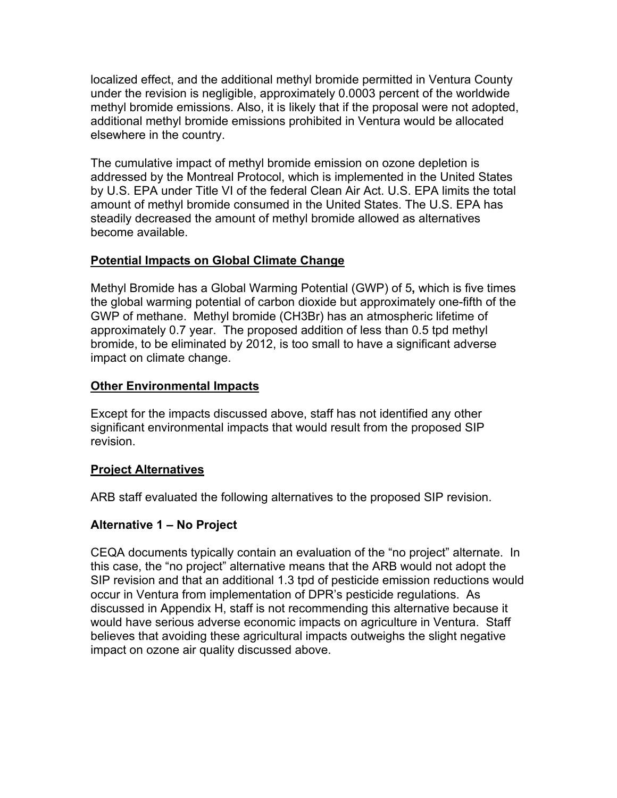localized effect, and the additional methyl bromide permitted in Ventura County under the revision is negligible, approximately 0.0003 percent of the worldwide methyl bromide emissions. Also, it is likely that if the proposal were not adopted, additional methyl bromide emissions prohibited in Ventura would be allocated elsewhere in the country.

The cumulative impact of methyl bromide emission on ozone depletion is addressed by the Montreal Protocol, which is implemented in the United States by U.S. EPA under Title VI of the federal Clean Air Act. U.S. EPA limits the total amount of methyl bromide consumed in the United States. The U.S. EPA has steadily decreased the amount of methyl bromide allowed as alternatives become available.

# **Potential Impacts on Global Climate Change**

Methyl Bromide has a Global Warming Potential (GWP) of 5**,** which is five times the global warming potential of carbon dioxide but approximately one-fifth of the GWP of methane. Methyl bromide (CH3Br) has an atmospheric lifetime of approximately 0.7 year. The proposed addition of less than 0.5 tpd methyl bromide, to be eliminated by 2012, is too small to have a significant adverse impact on climate change.

# **Other Environmental Impacts**

Except for the impacts discussed above, staff has not identified any other significant environmental impacts that would result from the proposed SIP revision.

# **Project Alternatives**

ARB staff evaluated the following alternatives to the proposed SIP revision.

# **Alternative 1 – No Project**

CEQA documents typically contain an evaluation of the "no project" alternate. In this case, the "no project" alternative means that the ARB would not adopt the SIP revision and that an additional 1.3 tpd of pesticide emission reductions would occur in Ventura from implementation of DPR's pesticide regulations. As discussed in Appendix H, staff is not recommending this alternative because it would have serious adverse economic impacts on agriculture in Ventura. Staff believes that avoiding these agricultural impacts outweighs the slight negative impact on ozone air quality discussed above.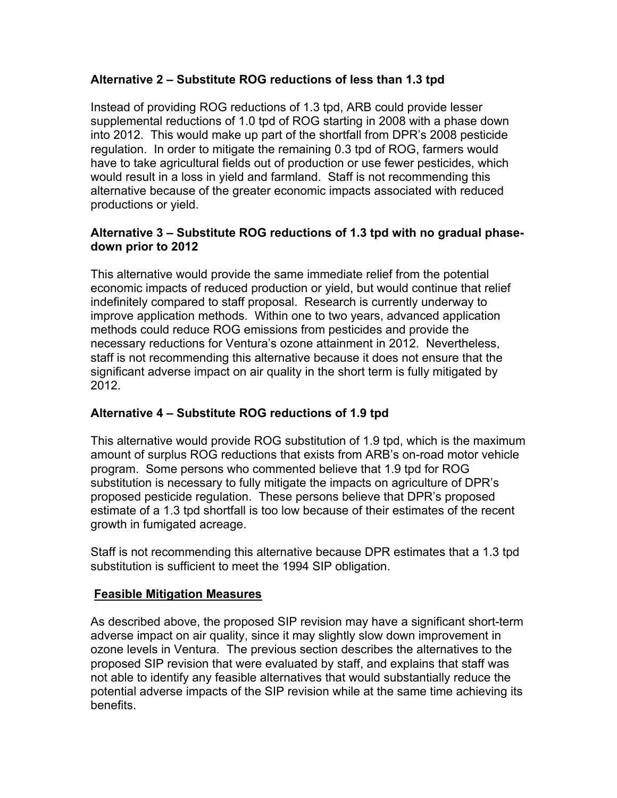# **Alternative 2 – Substitute ROG reductions of less than 1.3 tpd**

Instead of providing ROG reductions of 1.3 tpd, ARB could provide lesser supplemental reductions of 1.0 tpd of ROG starting in 2008 with a phase down into 2012. This would make up part of the shortfall from DPR's 2008 pesticide regulation. In order to mitigate the remaining 0.3 tpd of ROG, farmers would have to take agricultural fields out of production or use fewer pesticides, which would result in a loss in yield and farmland. Staff is not recommending this alternative because of the greater economic impacts associated with reduced productions or yield.

# **Alternative 3 – Substitute ROG reductions of 1.3 tpd with no gradual phasedown prior to 2012**

This alternative would provide the same immediate relief from the potential economic impacts of reduced production or yield, but would continue that relief indefinitely compared to staff proposal. Research is currently underway to improve application methods. Within one to two years, advanced application methods could reduce ROG emissions from pesticides and provide the necessary reductions for Ventura's ozone attainment in 2012. Nevertheless, staff is not recommending this alternative because it does not ensure that the significant adverse impact on air quality in the short term is fully mitigated by 2012.

# **Alternative 4 – Substitute ROG reductions of 1.9 tpd**

This alternative would provide ROG substitution of 1.9 tpd, which is the maximum amount of surplus ROG reductions that exists from ARB's on-road motor vehicle program. Some persons who commented believe that 1.9 tpd for ROG substitution is necessary to fully mitigate the impacts on agriculture of DPR's proposed pesticide regulation. These persons believe that DPR's proposed estimate of a 1.3 tpd shortfall is too low because of their estimates of the recent growth in fumigated acreage.

Staff is not recommending this alternative because DPR estimates that a 1.3 tpd substitution is sufficient to meet the 1994 SIP obligation.

# **Feasible Mitigation Measures**

As described above, the proposed SIP revision may have a significant short-term adverse impact on air quality, since it may slightly slow down improvement in ozone levels in Ventura. The previous section describes the alternatives to the proposed SIP revision that were evaluated by staff, and explains that staff was not able to identify any feasible alternatives that would substantially reduce the potential adverse impacts of the SIP revision while at the same time achieving its benefits.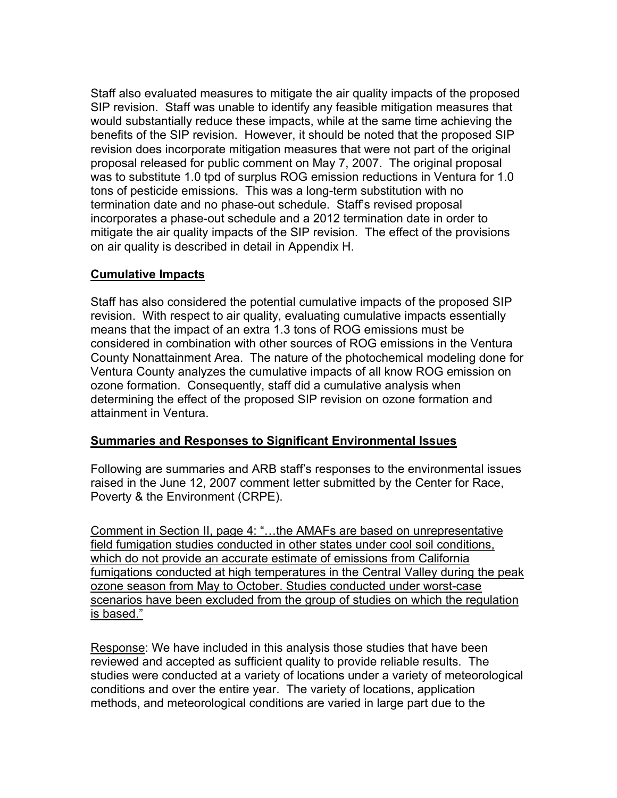Staff also evaluated measures to mitigate the air quality impacts of the proposed SIP revision. Staff was unable to identify any feasible mitigation measures that would substantially reduce these impacts, while at the same time achieving the benefits of the SIP revision. However, it should be noted that the proposed SIP revision does incorporate mitigation measures that were not part of the original proposal released for public comment on May 7, 2007. The original proposal was to substitute 1.0 tpd of surplus ROG emission reductions in Ventura for 1.0 tons of pesticide emissions. This was a long-term substitution with no termination date and no phase-out schedule. Staff's revised proposal incorporates a phase-out schedule and a 2012 termination date in order to mitigate the air quality impacts of the SIP revision. The effect of the provisions on air quality is described in detail in Appendix H.

## **Cumulative Impacts**

Staff has also considered the potential cumulative impacts of the proposed SIP revision. With respect to air quality, evaluating cumulative impacts essentially means that the impact of an extra 1.3 tons of ROG emissions must be considered in combination with other sources of ROG emissions in the Ventura County Nonattainment Area. The nature of the photochemical modeling done for Ventura County analyzes the cumulative impacts of all know ROG emission on ozone formation. Consequently, staff did a cumulative analysis when determining the effect of the proposed SIP revision on ozone formation and attainment in Ventura.

### **Summaries and Responses to Significant Environmental Issues**

Following are summaries and ARB staff's responses to the environmental issues raised in the June 12, 2007 comment letter submitted by the Center for Race, Poverty & the Environment (CRPE).

Comment in Section II, page 4: "…the AMAFs are based on unrepresentative field fumigation studies conducted in other states under cool soil conditions, which do not provide an accurate estimate of emissions from California fumigations conducted at high temperatures in the Central Valley during the peak ozone season from May to October. Studies conducted under worst-case scenarios have been excluded from the group of studies on which the regulation is based."

Response: We have included in this analysis those studies that have been reviewed and accepted as sufficient quality to provide reliable results. The studies were conducted at a variety of locations under a variety of meteorological conditions and over the entire year. The variety of locations, application methods, and meteorological conditions are varied in large part due to the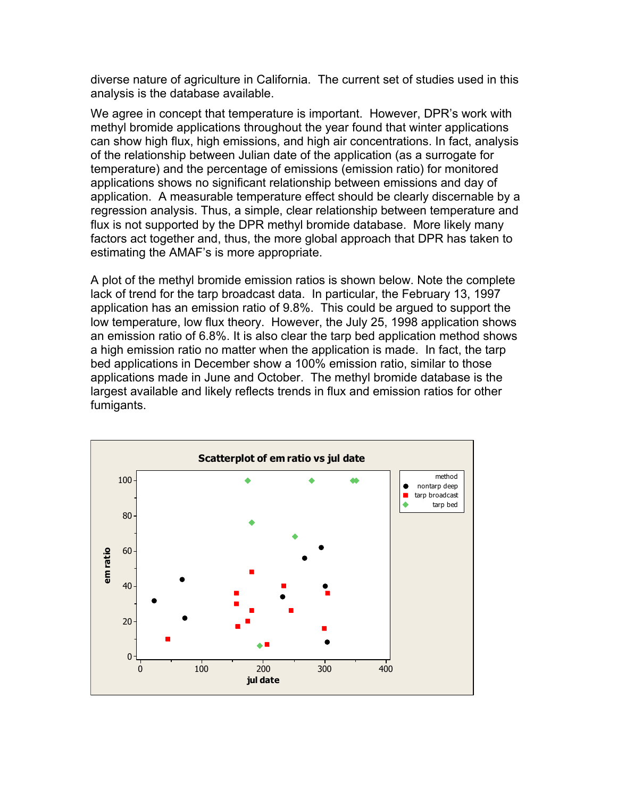diverse nature of agriculture in California. The current set of studies used in this analysis is the database available.

We agree in concept that temperature is important. However, DPR's work with methyl bromide applications throughout the year found that winter applications can show high flux, high emissions, and high air concentrations. In fact, analysis of the relationship between Julian date of the application (as a surrogate for temperature) and the percentage of emissions (emission ratio) for monitored applications shows no significant relationship between emissions and day of application. A measurable temperature effect should be clearly discernable by a regression analysis. Thus, a simple, clear relationship between temperature and flux is not supported by the DPR methyl bromide database. More likely many factors act together and, thus, the more global approach that DPR has taken to estimating the AMAF's is more appropriate.

A plot of the methyl bromide emission ratios is shown below. Note the complete lack of trend for the tarp broadcast data. In particular, the February 13, 1997 application has an emission ratio of 9.8%. This could be argued to support the low temperature, low flux theory. However, the July 25, 1998 application shows an emission ratio of 6.8%. It is also clear the tarp bed application method shows a high emission ratio no matter when the application is made. In fact, the tarp bed applications in December show a 100% emission ratio, similar to those applications made in June and October. The methyl bromide database is the largest available and likely reflects trends in flux and emission ratios for other fumigants.

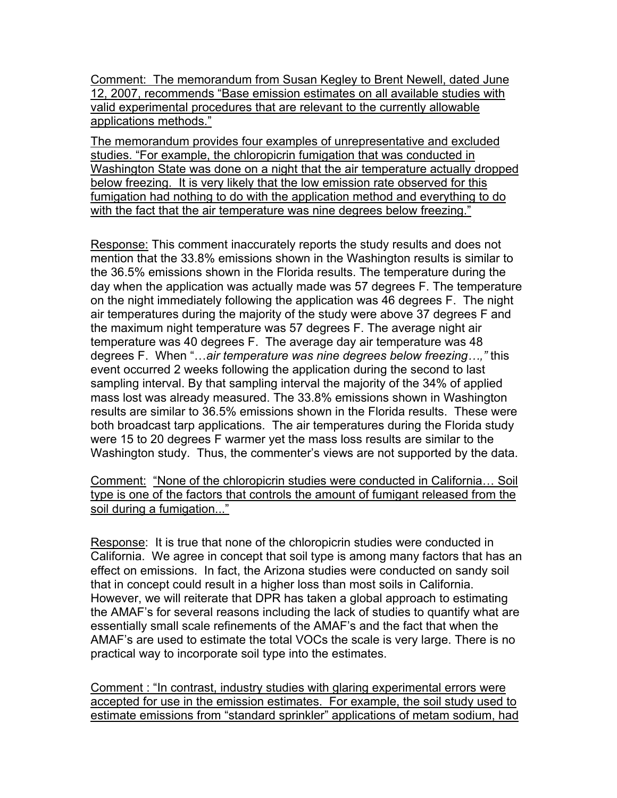Comment: The memorandum from Susan Kegley to Brent Newell, dated June 12, 2007, recommends "Base emission estimates on all available studies with valid experimental procedures that are relevant to the currently allowable applications methods."

The memorandum provides four examples of unrepresentative and excluded studies. "For example, the chloropicrin fumigation that was conducted in Washington State was done on a night that the air temperature actually dropped below freezing. It is very likely that the low emission rate observed for this fumigation had nothing to do with the application method and everything to do with the fact that the air temperature was nine degrees below freezing."

Response: This comment inaccurately reports the study results and does not mention that the 33.8% emissions shown in the Washington results is similar to the 36.5% emissions shown in the Florida results. The temperature during the day when the application was actually made was 57 degrees F. The temperature on the night immediately following the application was 46 degrees F. The night air temperatures during the majority of the study were above 37 degrees F and the maximum night temperature was 57 degrees F. The average night air temperature was 40 degrees F. The average day air temperature was 48 degrees F. When "…*air temperature was nine degrees below freezing…,"* this event occurred 2 weeks following the application during the second to last sampling interval. By that sampling interval the majority of the 34% of applied mass lost was already measured. The 33.8% emissions shown in Washington results are similar to 36.5% emissions shown in the Florida results. These were both broadcast tarp applications. The air temperatures during the Florida study were 15 to 20 degrees F warmer yet the mass loss results are similar to the Washington study. Thus, the commenter's views are not supported by the data.

Comment: "None of the chloropicrin studies were conducted in California… Soil type is one of the factors that controls the amount of fumigant released from the soil during a fumigation..."

Response: It is true that none of the chloropicrin studies were conducted in California. We agree in concept that soil type is among many factors that has an effect on emissions. In fact, the Arizona studies were conducted on sandy soil that in concept could result in a higher loss than most soils in California. However, we will reiterate that DPR has taken a global approach to estimating the AMAF's for several reasons including the lack of studies to quantify what are essentially small scale refinements of the AMAF's and the fact that when the AMAF's are used to estimate the total VOCs the scale is very large. There is no practical way to incorporate soil type into the estimates.

Comment : "In contrast, industry studies with glaring experimental errors were accepted for use in the emission estimates. For example, the soil study used to estimate emissions from "standard sprinkler" applications of metam sodium, had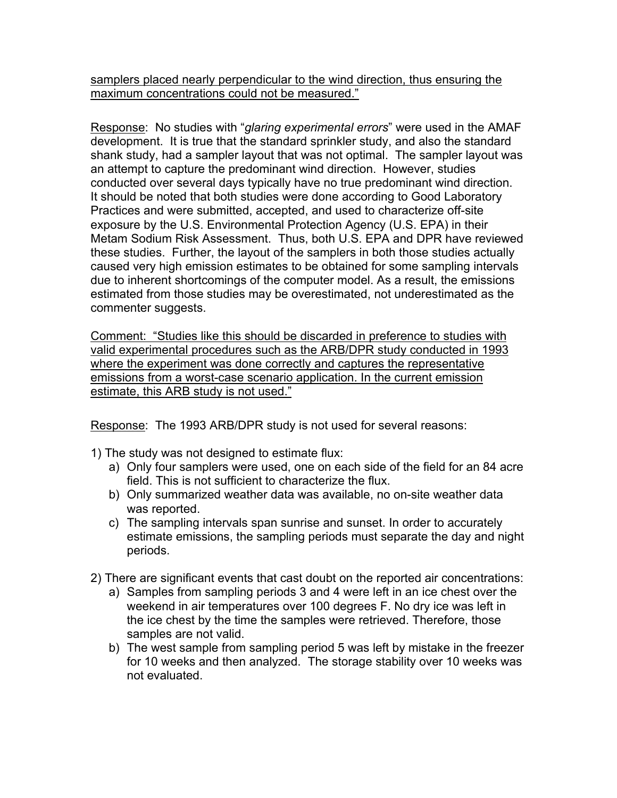samplers placed nearly perpendicular to the wind direction, thus ensuring the maximum concentrations could not be measured."

Response: No studies with "*glaring experimental errors*" were used in the AMAF development. It is true that the standard sprinkler study, and also the standard shank study, had a sampler layout that was not optimal. The sampler layout was an attempt to capture the predominant wind direction. However, studies conducted over several days typically have no true predominant wind direction. It should be noted that both studies were done according to Good Laboratory Practices and were submitted, accepted, and used to characterize off-site exposure by the U.S. Environmental Protection Agency (U.S. EPA) in their Metam Sodium Risk Assessment. Thus, both U.S. EPA and DPR have reviewed these studies. Further, the layout of the samplers in both those studies actually caused very high emission estimates to be obtained for some sampling intervals due to inherent shortcomings of the computer model. As a result, the emissions estimated from those studies may be overestimated, not underestimated as the commenter suggests.

Comment: "Studies like this should be discarded in preference to studies with valid experimental procedures such as the ARB/DPR study conducted in 1993 where the experiment was done correctly and captures the representative emissions from a worst-case scenario application. In the current emission estimate, this ARB study is not used."

Response: The 1993 ARB/DPR study is not used for several reasons:

- 1) The study was not designed to estimate flux:
	- a) Only four samplers were used, one on each side of the field for an 84 acre field. This is not sufficient to characterize the flux.
	- b) Only summarized weather data was available, no on-site weather data was reported.
	- c) The sampling intervals span sunrise and sunset. In order to accurately estimate emissions, the sampling periods must separate the day and night periods.
- 2) There are significant events that cast doubt on the reported air concentrations:
	- a) Samples from sampling periods 3 and 4 were left in an ice chest over the weekend in air temperatures over 100 degrees F. No dry ice was left in the ice chest by the time the samples were retrieved. Therefore, those samples are not valid.
	- b) The west sample from sampling period 5 was left by mistake in the freezer for 10 weeks and then analyzed. The storage stability over 10 weeks was not evaluated.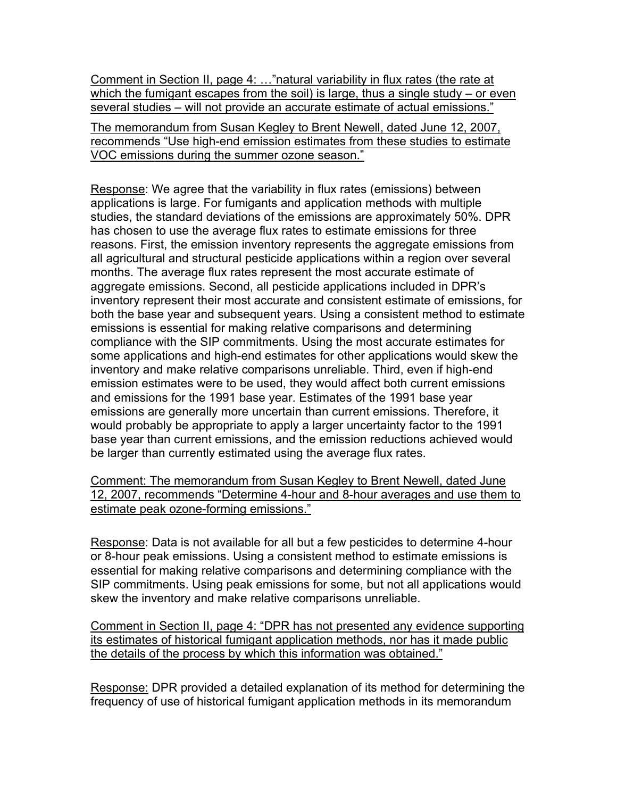Comment in Section II, page 4: …"natural variability in flux rates (the rate at which the fumigant escapes from the soil) is large, thus a single study – or even several studies – will not provide an accurate estimate of actual emissions."

The memorandum from Susan Kegley to Brent Newell, dated June 12, 2007, recommends "Use high-end emission estimates from these studies to estimate VOC emissions during the summer ozone season."

Response: We agree that the variability in flux rates (emissions) between applications is large. For fumigants and application methods with multiple studies, the standard deviations of the emissions are approximately 50%. DPR has chosen to use the average flux rates to estimate emissions for three reasons. First, the emission inventory represents the aggregate emissions from all agricultural and structural pesticide applications within a region over several months. The average flux rates represent the most accurate estimate of aggregate emissions. Second, all pesticide applications included in DPR's inventory represent their most accurate and consistent estimate of emissions, for both the base year and subsequent years. Using a consistent method to estimate emissions is essential for making relative comparisons and determining compliance with the SIP commitments. Using the most accurate estimates for some applications and high-end estimates for other applications would skew the inventory and make relative comparisons unreliable. Third, even if high-end emission estimates were to be used, they would affect both current emissions and emissions for the 1991 base year. Estimates of the 1991 base year emissions are generally more uncertain than current emissions. Therefore, it would probably be appropriate to apply a larger uncertainty factor to the 1991 base year than current emissions, and the emission reductions achieved would be larger than currently estimated using the average flux rates.

Comment: The memorandum from Susan Kegley to Brent Newell, dated June 12, 2007, recommends "Determine 4-hour and 8-hour averages and use them to estimate peak ozone-forming emissions."

Response: Data is not available for all but a few pesticides to determine 4-hour or 8-hour peak emissions. Using a consistent method to estimate emissions is essential for making relative comparisons and determining compliance with the SIP commitments. Using peak emissions for some, but not all applications would skew the inventory and make relative comparisons unreliable.

Comment in Section II, page 4: "DPR has not presented any evidence supporting its estimates of historical fumigant application methods, nor has it made public the details of the process by which this information was obtained."

Response: DPR provided a detailed explanation of its method for determining the frequency of use of historical fumigant application methods in its memorandum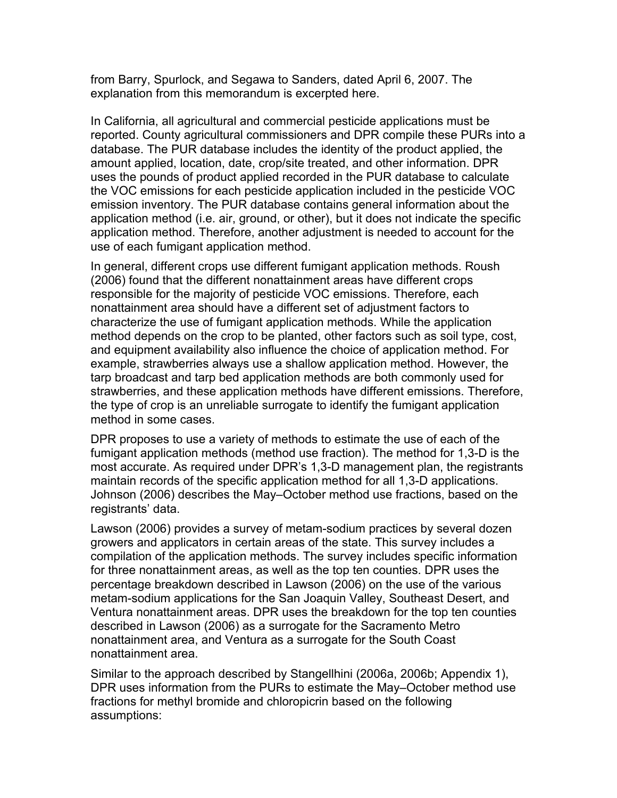from Barry, Spurlock, and Segawa to Sanders, dated April 6, 2007. The explanation from this memorandum is excerpted here.

In California, all agricultural and commercial pesticide applications must be reported. County agricultural commissioners and DPR compile these PURs into a database. The PUR database includes the identity of the product applied, the amount applied, location, date, crop/site treated, and other information. DPR uses the pounds of product applied recorded in the PUR database to calculate the VOC emissions for each pesticide application included in the pesticide VOC emission inventory. The PUR database contains general information about the application method (i.e. air, ground, or other), but it does not indicate the specific application method. Therefore, another adjustment is needed to account for the use of each fumigant application method.

In general, different crops use different fumigant application methods. Roush (2006) found that the different nonattainment areas have different crops responsible for the majority of pesticide VOC emissions. Therefore, each nonattainment area should have a different set of adjustment factors to characterize the use of fumigant application methods. While the application method depends on the crop to be planted, other factors such as soil type, cost, and equipment availability also influence the choice of application method. For example, strawberries always use a shallow application method. However, the tarp broadcast and tarp bed application methods are both commonly used for strawberries, and these application methods have different emissions. Therefore, the type of crop is an unreliable surrogate to identify the fumigant application method in some cases.

DPR proposes to use a variety of methods to estimate the use of each of the fumigant application methods (method use fraction). The method for 1,3-D is the most accurate. As required under DPR's 1,3-D management plan, the registrants maintain records of the specific application method for all 1,3-D applications. Johnson (2006) describes the May–October method use fractions, based on the registrants' data.

Lawson (2006) provides a survey of metam-sodium practices by several dozen growers and applicators in certain areas of the state. This survey includes a compilation of the application methods. The survey includes specific information for three nonattainment areas, as well as the top ten counties. DPR uses the percentage breakdown described in Lawson (2006) on the use of the various metam-sodium applications for the San Joaquin Valley, Southeast Desert, and Ventura nonattainment areas. DPR uses the breakdown for the top ten counties described in Lawson (2006) as a surrogate for the Sacramento Metro nonattainment area, and Ventura as a surrogate for the South Coast nonattainment area.

Similar to the approach described by Stangellhini (2006a, 2006b; Appendix 1), DPR uses information from the PURs to estimate the May–October method use fractions for methyl bromide and chloropicrin based on the following assumptions: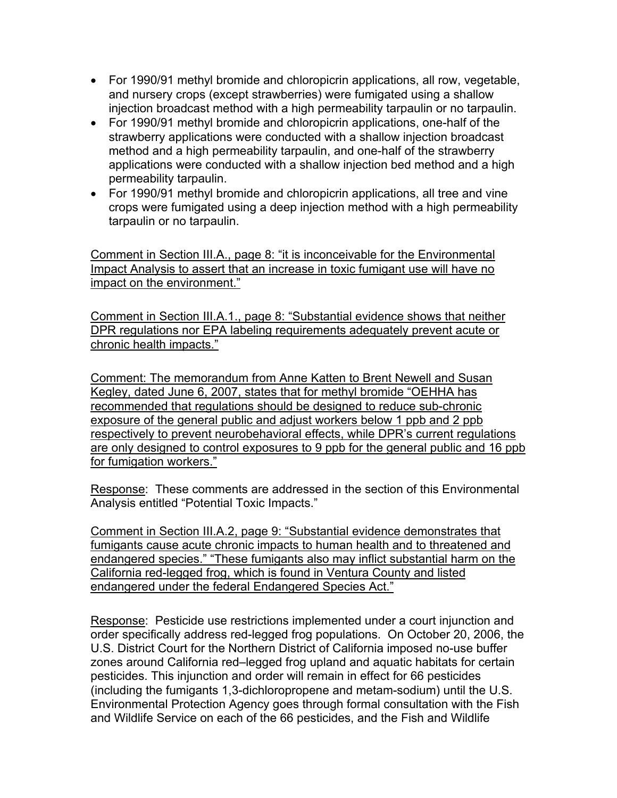- For 1990/91 methyl bromide and chloropicrin applications, all row, vegetable, and nursery crops (except strawberries) were fumigated using a shallow injection broadcast method with a high permeability tarpaulin or no tarpaulin.
- For 1990/91 methyl bromide and chloropicrin applications, one-half of the strawberry applications were conducted with a shallow injection broadcast method and a high permeability tarpaulin, and one-half of the strawberry applications were conducted with a shallow injection bed method and a high permeability tarpaulin.
- For 1990/91 methyl bromide and chloropicrin applications, all tree and vine crops were fumigated using a deep injection method with a high permeability tarpaulin or no tarpaulin.

Comment in Section III.A., page 8: "it is inconceivable for the Environmental Impact Analysis to assert that an increase in toxic fumigant use will have no impact on the environment."

Comment in Section III.A.1., page 8: "Substantial evidence shows that neither DPR regulations nor EPA labeling requirements adequately prevent acute or chronic health impacts."

Comment: The memorandum from Anne Katten to Brent Newell and Susan Kegley, dated June 6, 2007, states that for methyl bromide "OEHHA has recommended that regulations should be designed to reduce sub-chronic exposure of the general public and adjust workers below 1 ppb and 2 ppb respectively to prevent neurobehavioral effects, while DPR's current regulations are only designed to control exposures to 9 ppb for the general public and 16 ppb for fumigation workers."

Response: These comments are addressed in the section of this Environmental Analysis entitled "Potential Toxic Impacts."

Comment in Section III.A.2, page 9: "Substantial evidence demonstrates that fumigants cause acute chronic impacts to human health and to threatened and endangered species." "These fumigants also may inflict substantial harm on the California red-legged frog, which is found in Ventura County and listed endangered under the federal Endangered Species Act."

Response: Pesticide use restrictions implemented under a court injunction and order specifically address red-legged frog populations. On October 20, 2006, the U.S. District Court for the Northern District of California imposed no-use buffer zones around California red–legged frog upland and aquatic habitats for certain pesticides. This injunction and order will remain in effect for 66 pesticides (including the fumigants 1,3-dichloropropene and metam-sodium) until the U.S. Environmental Protection Agency goes through formal consultation with the Fish and Wildlife Service on each of the 66 pesticides, and the Fish and Wildlife